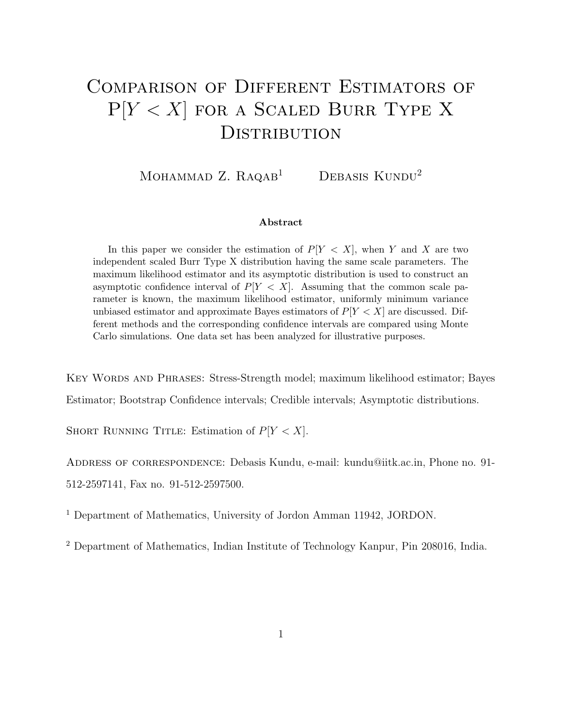# Comparison of Different Estimators of  $P[Y < X]$  for a Scaled Burr Type X DISTRIBUTION

MOHAMMAD Z.  $R_A QAB$ <sup>1</sup> DEBASIS KUNDU<sup>2</sup>

#### Abstract

In this paper we consider the estimation of  $P[Y < X]$ , when Y and X are two independent scaled Burr Type X distribution having the same scale parameters. The maximum likelihood estimator and its asymptotic distribution is used to construct an asymptotic confidence interval of  $P[Y \leq X]$ . Assuming that the common scale parameter is known, the maximum likelihood estimator, uniformly minimum variance unbiased estimator and approximate Bayes estimators of  $P[Y < X]$  are discussed. Different methods and the corresponding confidence intervals are compared using Monte Carlo simulations. One data set has been analyzed for illustrative purposes.

Key Words and Phrases: Stress-Strength model; maximum likelihood estimator; Bayes

Estimator; Bootstrap Confidence intervals; Credible intervals; Asymptotic distributions.

SHORT RUNNING TITLE: Estimation of  $P[Y < X]$ .

ADDRESS OF CORRESPONDENCE: Debasis Kundu, e-mail: kundu@iitk.ac.in, Phone no. 91-512-2597141, Fax no. 91-512-2597500.

<sup>1</sup> Department of Mathematics, University of Jordon Amman 11942, JORDON.

<sup>2</sup> Department of Mathematics, Indian Institute of Technology Kanpur, Pin 208016, India.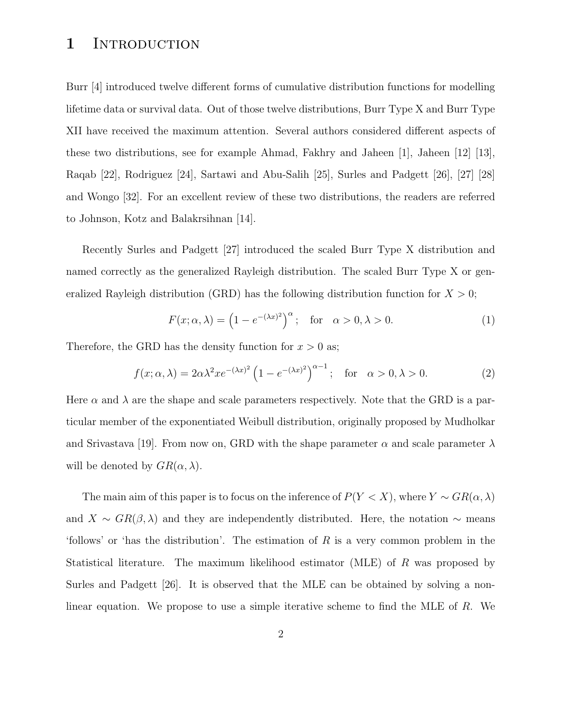### 1 INTRODUCTION

Burr [4] introduced twelve different forms of cumulative distribution functions for modelling lifetime data or survival data. Out of those twelve distributions, Burr Type X and Burr Type XII have received the maximum attention. Several authors considered different aspects of these two distributions, see for example Ahmad, Fakhry and Jaheen [1], Jaheen [12] [13], Raqab [22], Rodriguez [24], Sartawi and Abu-Salih [25], Surles and Padgett [26], [27] [28] and Wongo [32]. For an excellent review of these two distributions, the readers are referred to Johnson, Kotz and Balakrsihnan [14].

Recently Surles and Padgett [27] introduced the scaled Burr Type X distribution and named correctly as the generalized Rayleigh distribution. The scaled Burr Type X or generalized Rayleigh distribution (GRD) has the following distribution function for  $X > 0$ ;

$$
F(x; \alpha, \lambda) = \left(1 - e^{-(\lambda x)^2}\right)^{\alpha}; \quad \text{for} \quad \alpha > 0, \lambda > 0. \tag{1}
$$

Therefore, the GRD has the density function for  $x > 0$  as;

$$
f(x; \alpha, \lambda) = 2\alpha\lambda^2 x e^{-(\lambda x)^2} \left(1 - e^{-(\lambda x)^2}\right)^{\alpha - 1}; \quad \text{for} \quad \alpha > 0, \lambda > 0. \tag{2}
$$

Here  $\alpha$  and  $\lambda$  are the shape and scale parameters respectively. Note that the GRD is a particular member of the exponentiated Weibull distribution, originally proposed by Mudholkar and Srivastava [19]. From now on, GRD with the shape parameter  $\alpha$  and scale parameter  $\lambda$ will be denoted by  $GR(\alpha, \lambda)$ .

The main aim of this paper is to focus on the inference of  $P(Y < X)$ , where  $Y \sim \text{GR}(\alpha, \lambda)$ and  $X \sim \text{GR}(\beta, \lambda)$  and they are independently distributed. Here, the notation  $\sim$  means 'follows' or 'has the distribution'. The estimation of R is a very common problem in the Statistical literature. The maximum likelihood estimator (MLE) of R was proposed by Surles and Padgett [26]. It is observed that the MLE can be obtained by solving a nonlinear equation. We propose to use a simple iterative scheme to find the MLE of R. We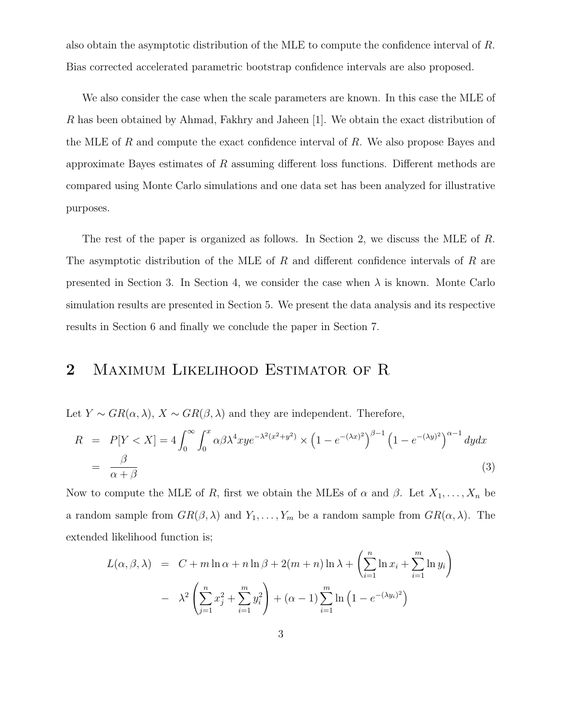also obtain the asymptotic distribution of the MLE to compute the confidence interval of R. Bias corrected accelerated parametric bootstrap confidence intervals are also proposed.

We also consider the case when the scale parameters are known. In this case the MLE of R has been obtained by Ahmad, Fakhry and Jaheen [1]. We obtain the exact distribution of the MLE of R and compute the exact confidence interval of R. We also propose Bayes and approximate Bayes estimates of  $R$  assuming different loss functions. Different methods are compared using Monte Carlo simulations and one data set has been analyzed for illustrative purposes.

The rest of the paper is organized as follows. In Section 2, we discuss the MLE of R. The asymptotic distribution of the MLE of  $R$  and different confidence intervals of  $R$  are presented in Section 3. In Section 4, we consider the case when  $\lambda$  is known. Monte Carlo simulation results are presented in Section 5. We present the data analysis and its respective results in Section 6 and finally we conclude the paper in Section 7.

## 2 MAXIMUM LIKELIHOOD ESTIMATOR OF R

Let  $Y \sim \text{GR}(\alpha, \lambda), X \sim \text{GR}(\beta, \lambda)$  and they are independent. Therefore,

$$
R = P[Y < X] = 4 \int_0^\infty \int_0^x \alpha \beta \lambda^4 x y e^{-\lambda^2 (x^2 + y^2)} \times \left(1 - e^{-(\lambda x)^2}\right)^{\beta - 1} \left(1 - e^{-(\lambda y)^2}\right)^{\alpha - 1} dy dx
$$
  

$$
= \frac{\beta}{\alpha + \beta} \tag{3}
$$

Now to compute the MLE of R, first we obtain the MLEs of  $\alpha$  and  $\beta$ . Let  $X_1, \ldots, X_n$  be a random sample from  $GR(\beta, \lambda)$  and  $Y_1, \ldots, Y_m$  be a random sample from  $GR(\alpha, \lambda)$ . The extended likelihood function is;

$$
L(\alpha, \beta, \lambda) = C + m \ln \alpha + n \ln \beta + 2(m+n) \ln \lambda + \left(\sum_{i=1}^{n} \ln x_i + \sum_{i=1}^{m} \ln y_i\right)
$$

$$
- \lambda^2 \left(\sum_{j=1}^{n} x_j^2 + \sum_{i=1}^{m} y_i^2\right) + (\alpha - 1) \sum_{i=1}^{m} \ln \left(1 - e^{-(\lambda y_i)^2}\right)
$$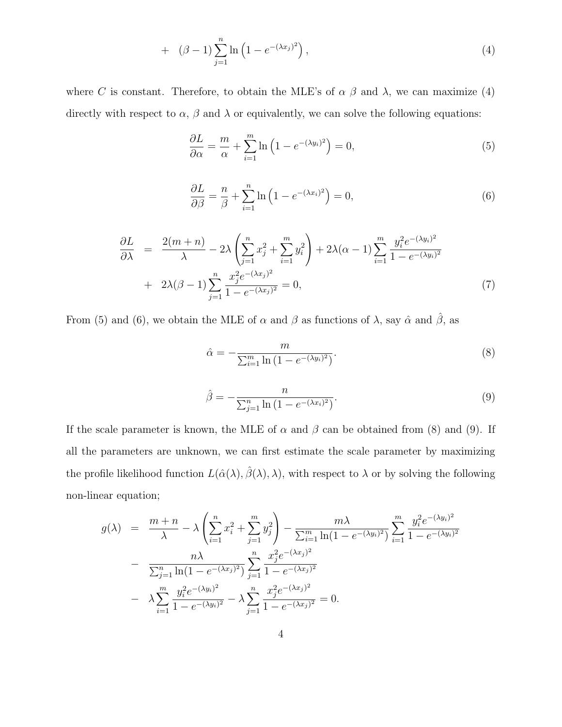+ 
$$
(\beta - 1) \sum_{j=1}^{n} \ln (1 - e^{-(\lambda x_j)^2}),
$$
 (4)

where C is constant. Therefore, to obtain the MLE's of  $\alpha$   $\beta$  and  $\lambda$ , we can maximize (4) directly with respect to  $\alpha$ ,  $\beta$  and  $\lambda$  or equivalently, we can solve the following equations:

$$
\frac{\partial L}{\partial \alpha} = \frac{m}{\alpha} + \sum_{i=1}^{m} \ln \left( 1 - e^{-(\lambda y_i)^2} \right) = 0,\tag{5}
$$

$$
\frac{\partial L}{\partial \beta} = \frac{n}{\beta} + \sum_{i=1}^{n} \ln \left( 1 - e^{-(\lambda x_i)^2} \right) = 0,\tag{6}
$$

$$
\frac{\partial L}{\partial \lambda} = \frac{2(m+n)}{\lambda} - 2\lambda \left( \sum_{j=1}^{n} x_j^2 + \sum_{i=1}^{m} y_i^2 \right) + 2\lambda(\alpha - 1) \sum_{i=1}^{m} \frac{y_i^2 e^{-(\lambda y_i)^2}}{1 - e^{-(\lambda y_i)^2}}
$$
  
+ 
$$
2\lambda(\beta - 1) \sum_{j=1}^{n} \frac{x_j^2 e^{-(\lambda x_j)^2}}{1 - e^{-(\lambda x_j)^2}} = 0,
$$
 (7)

From (5) and (6), we obtain the MLE of  $\alpha$  and  $\beta$  as functions of  $\lambda$ , say  $\hat{\alpha}$  and  $\hat{\beta}$ , as

$$
\hat{\alpha} = -\frac{m}{\sum_{i=1}^{m} \ln(1 - e^{-(\lambda y_i)^2})}.
$$
\n(8)

$$
\hat{\beta} = -\frac{n}{\sum_{j=1}^{n} \ln(1 - e^{-(\lambda x_i)^2})}.
$$
\n(9)

If the scale parameter is known, the MLE of  $\alpha$  and  $\beta$  can be obtained from (8) and (9). If all the parameters are unknown, we can first estimate the scale parameter by maximizing the profile likelihood function  $L(\hat{\alpha}(\lambda), \hat{\beta}(\lambda), \lambda)$ , with respect to  $\lambda$  or by solving the following non-linear equation;

$$
g(\lambda) = \frac{m+n}{\lambda} - \lambda \left( \sum_{i=1}^{n} x_i^2 + \sum_{j=1}^{m} y_j^2 \right) - \frac{m\lambda}{\sum_{i=1}^{m} \ln(1 - e^{-(\lambda y_i)^2})} \sum_{i=1}^{m} \frac{y_i^2 e^{-(\lambda y_i)^2}}{1 - e^{-(\lambda y_i)^2}}
$$

$$
- \frac{n\lambda}{\sum_{j=1}^{n} \ln(1 - e^{-(\lambda x_j)^2})} \sum_{j=1}^{n} \frac{x_j^2 e^{-(\lambda x_j)^2}}{1 - e^{-(\lambda x_j)^2}}
$$

$$
- \lambda \sum_{i=1}^{m} \frac{y_i^2 e^{-(\lambda y_i)^2}}{1 - e^{-(\lambda y_i)^2}} - \lambda \sum_{j=1}^{n} \frac{x_j^2 e^{-(\lambda x_j)^2}}{1 - e^{-(\lambda x_j)^2}} = 0.
$$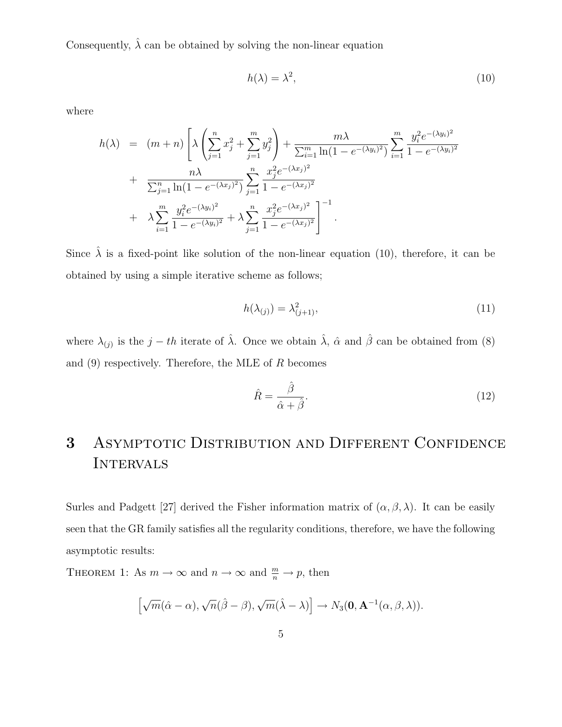Consequently,  $\hat{\lambda}$  can be obtained by solving the non-linear equation

$$
h(\lambda) = \lambda^2,\tag{10}
$$

where

$$
h(\lambda) = (m+n) \left[ \lambda \left( \sum_{j=1}^{n} x_j^2 + \sum_{j=1}^{m} y_j^2 \right) + \frac{m \lambda}{\sum_{i=1}^{m} \ln(1 - e^{-(\lambda y_i)^2})} \sum_{i=1}^{m} \frac{y_i^2 e^{-(\lambda y_i)^2}}{1 - e^{-(\lambda y_i)^2}} + \frac{n \lambda}{\sum_{j=1}^{n} \ln(1 - e^{-(\lambda x_j)^2})} \sum_{j=1}^{n} \frac{x_j^2 e^{-(\lambda x_j)^2}}{1 - e^{-(\lambda x_j)^2}} + \lambda \sum_{i=1}^{m} \frac{y_i^2 e^{-(\lambda y_i)^2}}{1 - e^{-(\lambda y_i)^2}} + \lambda \sum_{j=1}^{n} \frac{x_j^2 e^{-(\lambda x_j)^2}}{1 - e^{-(\lambda x_j)^2}} \right]^{-1}.
$$

Since  $\hat{\lambda}$  is a fixed-point like solution of the non-linear equation (10), therefore, it can be obtained by using a simple iterative scheme as follows;

$$
h(\lambda_{(j)}) = \lambda_{(j+1)}^2,\tag{11}
$$

where  $\lambda_{(j)}$  is the  $j-th$  iterate of  $\hat{\lambda}$ . Once we obtain  $\hat{\lambda}$ ,  $\hat{\alpha}$  and  $\hat{\beta}$  can be obtained from (8) and  $(9)$  respectively. Therefore, the MLE of R becomes

$$
\hat{R} = \frac{\hat{\beta}}{\hat{\alpha} + \hat{\beta}}.\tag{12}
$$

# 3 Asymptotic Distribution and Different Confidence **INTERVALS**

Surles and Padgett [27] derived the Fisher information matrix of  $(\alpha, \beta, \lambda)$ . It can be easily seen that the GR family satisfies all the regularity conditions, therefore, we have the following asymptotic results:

THEOREM 1: As  $m \to \infty$  and  $n \to \infty$  and  $\frac{m}{n} \to p$ , then

$$
\left[\sqrt{m}(\hat{\alpha}-\alpha),\sqrt{n}(\hat{\beta}-\beta),\sqrt{m}(\hat{\lambda}-\lambda)\right]\to N_3(\mathbf{0},\mathbf{A}^{-1}(\alpha,\beta,\lambda)).
$$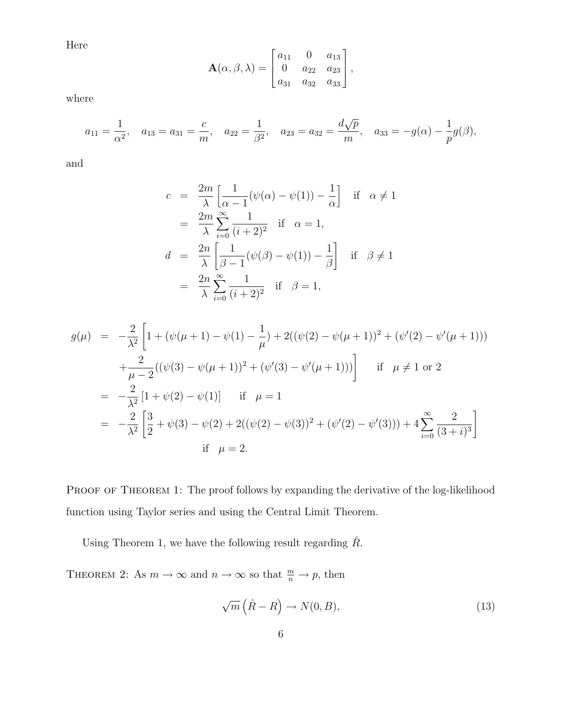Here

$$
\mathbf{A}(\alpha, \beta, \lambda) = \begin{bmatrix} a_{11} & 0 & a_{13} \\ 0 & a_{22} & a_{23} \\ a_{31} & a_{32} & a_{33} \end{bmatrix},
$$

where

$$
a_{11} = \frac{1}{\alpha^2}
$$
,  $a_{13} = a_{31} = \frac{c}{m}$ ,  $a_{22} = \frac{1}{\beta^2}$ ,  $a_{23} = a_{32} = \frac{d\sqrt{p}}{m}$ ,  $a_{33} = -g(\alpha) - \frac{1}{p}g(\beta)$ ,

and

$$
c = \frac{2m}{\lambda} \left[ \frac{1}{\alpha - 1} (\psi(\alpha) - \psi(1)) - \frac{1}{\alpha} \right] \text{ if } \alpha \neq 1
$$
  
\n
$$
= \frac{2m}{\lambda} \sum_{i=0}^{\infty} \frac{1}{(i+2)^2} \text{ if } \alpha = 1,
$$
  
\n
$$
d = \frac{2n}{\lambda} \left[ \frac{1}{\beta - 1} (\psi(\beta) - \psi(1)) - \frac{1}{\beta} \right] \text{ if } \beta \neq 1
$$
  
\n
$$
= \frac{2n}{\lambda} \sum_{i=0}^{\infty} \frac{1}{(i+2)^2} \text{ if } \beta = 1,
$$

$$
g(\mu) = -\frac{2}{\lambda^2} \left[ 1 + (\psi(\mu + 1) - \psi(1) - \frac{1}{\mu}) + 2((\psi(2) - \psi(\mu + 1))^2 + (\psi'(2) - \psi'(\mu + 1))) \right. \\
\left. + \frac{2}{\mu - 2} ((\psi(3) - \psi(\mu + 1))^2 + (\psi'(3) - \psi'(\mu + 1))) \right] \quad \text{if } \mu \neq 1 \text{ or } 2
$$
\n
$$
= -\frac{2}{\lambda^2} \left[ 1 + \psi(2) - \psi(1) \right] \quad \text{if } \mu = 1
$$
\n
$$
= -\frac{2}{\lambda^2} \left[ \frac{3}{2} + \psi(3) - \psi(2) + 2((\psi(2) - \psi(3))^2 + (\psi'(2) - \psi'(3))) + 4 \sum_{i=0}^{\infty} \frac{2}{(3+i)^3} \right]
$$
\n
$$
\text{if } \mu = 2.
$$

PROOF OF THEOREM 1: The proof follows by expanding the derivative of the log-likelihood function using Taylor series and using the Central Limit Theorem.

Using Theorem 1, we have the following result regarding  $\hat{R}$ .

THEOREM 2: As  $m \to \infty$  and  $n \to \infty$  so that  $\frac{m}{n} \to p$ , then

$$
\sqrt{m}\left(\hat{R}-R\right) \to N(0,B),\tag{13}
$$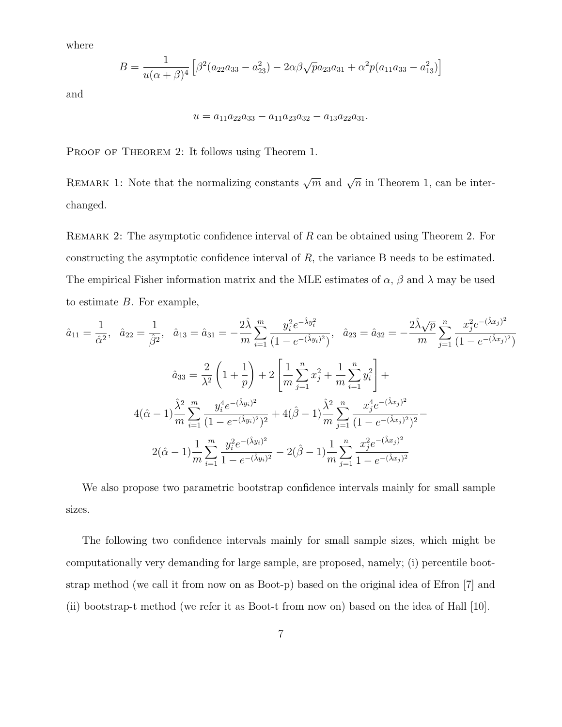where

$$
B = \frac{1}{u(\alpha + \beta)^4} \left[ \beta^2 (a_{22}a_{33} - a_{23}^2) - 2\alpha\beta\sqrt{p}a_{23}a_{31} + \alpha^2 p(a_{11}a_{33} - a_{13}^2) \right]
$$

and

$$
u = a_{11}a_{22}a_{33} - a_{11}a_{23}a_{32} - a_{13}a_{22}a_{31}.
$$

PROOF OF THEOREM 2: It follows using Theorem 1.

REMARK 1: Note that the normalizing constants  $\sqrt{m}$  and  $\sqrt{n}$  in Theorem 1, can be interchanged.

REMARK 2: The asymptotic confidence interval of  $R$  can be obtained using Theorem 2. For constructing the asymptotic confidence interval of R, the variance B needs to be estimated. The empirical Fisher information matrix and the MLE estimates of  $\alpha$ ,  $\beta$  and  $\lambda$  may be used to estimate  $B$ . For example,

$$
\hat{a}_{11} = \frac{1}{\hat{\alpha}^2}, \quad \hat{a}_{22} = \frac{1}{\hat{\beta}^2}, \quad \hat{a}_{13} = \hat{a}_{31} = -\frac{2\hat{\lambda}}{m} \sum_{i=1}^m \frac{y_i^2 e^{-\hat{\lambda}y_i^2}}{(1 - e^{-(\hat{\lambda}y_i)^2})}, \quad \hat{a}_{23} = \hat{a}_{32} = -\frac{2\hat{\lambda}\sqrt{p}}{m} \sum_{j=1}^n \frac{x_j^2 e^{-(\hat{\lambda}x_j)^2}}{(1 - e^{-(\hat{\lambda}x_j)^2})}
$$

$$
\hat{a}_{33} = \frac{2}{\lambda^2} \left(1 + \frac{1}{p}\right) + 2 \left[\frac{1}{m} \sum_{j=1}^n x_j^2 + \frac{1}{m} \sum_{i=1}^n y_i^2\right] +
$$

$$
4(\hat{\alpha} - 1) \frac{\hat{\lambda}^2}{m} \sum_{i=1}^m \frac{y_i^4 e^{-(\hat{\lambda}y_i)^2}}{(1 - e^{-(\hat{\lambda}y_i)^2})^2} + 4(\hat{\beta} - 1) \frac{\hat{\lambda}^2}{m} \sum_{j=1}^n \frac{x_j^4 e^{-(\hat{\lambda}x_j)^2}}{(1 - e^{-(\hat{\lambda}x_j)^2})^2} -
$$

$$
2(\hat{\alpha} - 1) \frac{1}{m} \sum_{i=1}^m \frac{y_i^2 e^{-(\hat{\lambda}y_i)^2}}{1 - e^{-(\hat{\lambda}y_i)^2}} - 2(\hat{\beta} - 1) \frac{1}{m} \sum_{j=1}^n \frac{x_j^2 e^{-(\hat{\lambda}x_j)^2}}{1 - e^{-(\hat{\lambda}x_j)^2}}
$$

We also propose two parametric bootstrap confidence intervals mainly for small sample sizes.

The following two confidence intervals mainly for small sample sizes, which might be computationally very demanding for large sample, are proposed, namely; (i) percentile bootstrap method (we call it from now on as Boot-p) based on the original idea of Efron [7] and (ii) bootstrap-t method (we refer it as Boot-t from now on) based on the idea of Hall [10].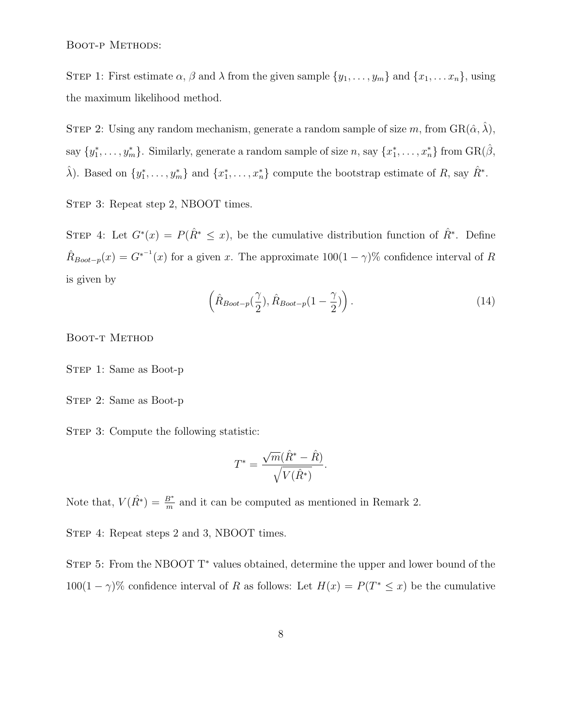BOOT-P METHODS:

STEP 1: First estimate  $\alpha$ ,  $\beta$  and  $\lambda$  from the given sample  $\{y_1, \ldots, y_m\}$  and  $\{x_1, \ldots x_n\}$ , using the maximum likelihood method.

STEP 2: Using any random mechanism, generate a random sample of size m, from  $\text{GR}(\hat{\alpha}, \hat{\lambda})$ , say  $\{y_1^*, \ldots, y_m^*\}$ . Similarly, generate a random sample of size  $n$ , say  $\{x_1^*, \ldots, x_n^*\}$  from  $\text{GR}(\hat{\beta}, \hat{\beta})$  $\hat{\lambda}$ ). Based on  $\{y_1^*, \ldots, y_m^*\}$  and  $\{x_1^*, \ldots, x_n^*\}$  compute the bootstrap estimate of R, say  $\hat{R}^*$ .

STEP 3: Repeat step 2, NBOOT times.

STEP 4: Let  $G^*(x) = P(\hat{R}^* \leq x)$ , be the cumulative distribution function of  $\hat{R}^*$ . Define  $\hat{R}_{Boot-p}(x) = G^{*^{-1}}(x)$  for a given x. The approximate  $100(1-\gamma)\%$  confidence interval of R is given by

$$
\left(\hat{R}_{\text{Boot}-p}(\frac{\gamma}{2}), \hat{R}_{\text{boot}-p}(1-\frac{\gamma}{2})\right). \tag{14}
$$

BOOT-T METHOD

STEP 1: Same as Boot-p

STEP 2: Same as Boot-p

STEP 3: Compute the following statistic:

$$
T^* = \frac{\sqrt{m}(\hat{R}^* - \hat{R})}{\sqrt{V(\hat{R}^*)}}.
$$

Note that,  $V(\hat{R}^*) = \frac{B^*}{m}$  $\frac{B^*}{m}$  and it can be computed as mentioned in Remark 2.

STEP 4: Repeat steps 2 and 3, NBOOT times.

STEP 5: From the NBOOT T<sup>\*</sup> values obtained, determine the upper and lower bound of the 100(1 –  $\gamma$ )% confidence interval of R as follows: Let  $H(x) = P(T^* \le x)$  be the cumulative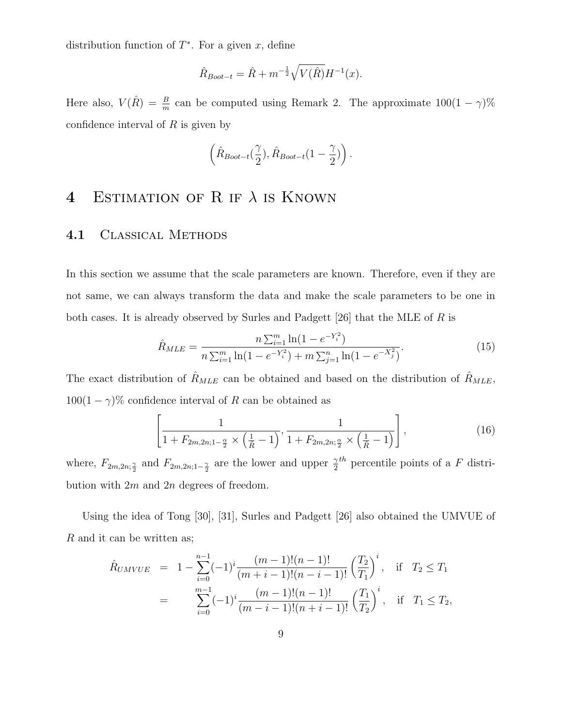distribution function of  $T^*$ . For a given x, define

$$
\hat{R}_{Boot-t} = \hat{R} + m^{-\frac{1}{2}} \sqrt{V(\hat{R})} H^{-1}(x).
$$

Here also,  $V(\hat{R}) = \frac{B}{m}$  $\frac{B}{m}$  can be computed using Remark 2. The approximate  $100(1-\gamma)\%$ confidence interval of  $R$  is given by

$$
\left(\hat{R}_{Boot-t}(\frac{\gamma}{2}),\hat{R}_{Boot-t}(1-\frac{\gamma}{2})\right).
$$

# 4 ESTIMATION OF R IF  $\lambda$  is KNOWN

#### 4.1 Classical Methods

In this section we assume that the scale parameters are known. Therefore, even if they are not same, we can always transform the data and make the scale parameters to be one in both cases. It is already observed by Surles and Padgett [26] that the MLE of R is

$$
\hat{R}_{MLE} = \frac{n \sum_{i=1}^{m} \ln(1 - e^{-Y_i^2})}{n \sum_{i=1}^{m} \ln(1 - e^{-Y_i^2}) + m \sum_{j=1}^{n} \ln(1 - e^{-X_j^2})}.
$$
\n(15)

The exact distribution of  $\hat{R}_{MLE}$  can be obtained and based on the distribution of  $\hat{R}_{MLE}$ ,  $100(1 - \gamma)$ % confidence interval of R can be obtained as

$$
\left[\frac{1}{1 + F_{2m,2n;1-\frac{\alpha}{2}} \times \left(\frac{1}{\hat{R}} - 1\right)}, \frac{1}{1 + F_{2m,2n;\frac{\alpha}{2}} \times \left(\frac{1}{\hat{R}} - 1\right)}\right],\tag{16}
$$

where,  $F_{2m,2n;\frac{\gamma}{2}}$  and  $F_{2m,2n;1-\frac{\gamma}{2}}$  are the lower and upper  $\frac{\gamma}{2}$  $th$  percentile points of a F distribution with  $2m$  and  $2n$  degrees of freedom.

Using the idea of Tong [30], [31], Surles and Padgett [26] also obtained the UMVUE of R and it can be written as;

$$
\hat{R}_{UMVUE} = 1 - \sum_{i=0}^{n-1} (-1)^i \frac{(m-1)!(n-1)!}{(m+i-1)!(n-i-1)!} \left(\frac{T_2}{T_1}\right)^i, \quad \text{if} \quad T_2 \le T_1
$$
\n
$$
= \sum_{i=0}^{m-1} (-1)^i \frac{(m-1)!(n-1)!}{(m-i-1)!(n+i-1)!} \left(\frac{T_1}{T_2}\right)^i, \quad \text{if} \quad T_1 \le T_2,
$$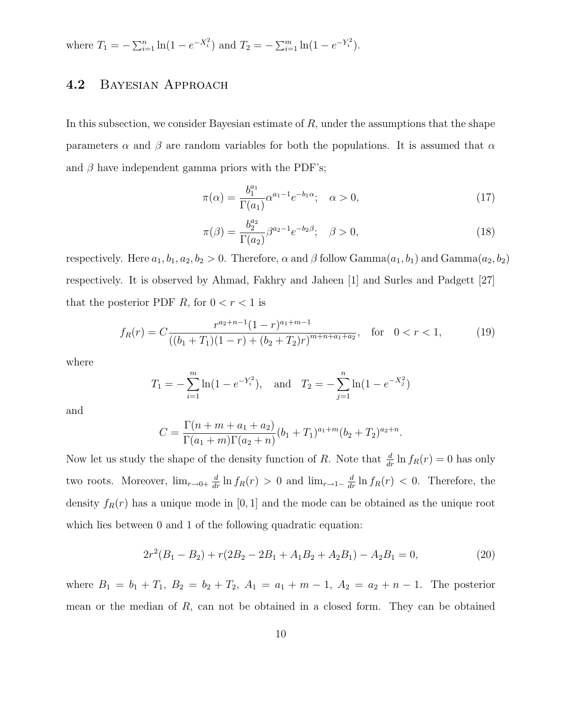where  $T_1 = -\sum_{i=1}^n \ln(1 - e^{-X_i^2})$  and  $T_2 = -\sum_{i=1}^m \ln(1 - e^{-Y_i^2})$ .

### 4.2 Bayesian Approach

In this subsection, we consider Bayesian estimate of  $R$ , under the assumptions that the shape parameters  $\alpha$  and  $\beta$  are random variables for both the populations. It is assumed that  $\alpha$ and  $\beta$  have independent gamma priors with the PDF's;

$$
\pi(\alpha) = \frac{b_1^{a_1}}{\Gamma(a_1)} \alpha^{a_1 - 1} e^{-b_1 \alpha}; \quad \alpha > 0,
$$
\n(17)

$$
\pi(\beta) = \frac{b_2^{a_2}}{\Gamma(a_2)} \beta^{a_2 - 1} e^{-b_2 \beta}; \quad \beta > 0,
$$
\n(18)

respectively. Here  $a_1, b_1, a_2, b_2 > 0$ . Therefore,  $\alpha$  and  $\beta$  follow Gamma $(a_1, b_1)$  and Gamma $(a_2, b_2)$ respectively. It is observed by Ahmad, Fakhry and Jaheen [1] and Surles and Padgett [27] that the posterior PDF R, for  $0 < r < 1$  is

$$
f_R(r) = C \frac{r^{a_2+n-1} (1-r)^{a_1+m-1}}{((b_1+T_1)(1-r)+(b_2+T_2)r)^{m+n+a_1+a_2}}, \quad \text{for} \quad 0 < r < 1,
$$
 (19)

where

$$
T_1 = -\sum_{i=1}^{m} \ln(1 - e^{-Y_i^2}),
$$
 and  $T_2 = -\sum_{j=1}^{n} \ln(1 - e^{-X_j^2})$ 

and

$$
C = \frac{\Gamma(n+m+a_1+a_2)}{\Gamma(a_1+m)\Gamma(a_2+n)} (b_1+T_1)^{a_1+m} (b_2+T_2)^{a_2+n}.
$$

Now let us study the shape of the density function of R. Note that  $\frac{d}{dr} \ln f_R(r) = 0$  has only two roots. Moreover,  $\lim_{r\to 0+} \frac{d}{dr} \ln f_R(r) > 0$  and  $\lim_{r\to 1-} \frac{d}{dr} \ln f_R(r) < 0$ . Therefore, the density  $f_R(r)$  has a unique mode in [0, 1] and the mode can be obtained as the unique root which lies between 0 and 1 of the following quadratic equation:

$$
2r2(B1 - B2) + r(2B2 - 2B1 + A1B2 + A2B1) - A2B1 = 0,
$$
\n(20)

where  $B_1 = b_1 + T_1$ ,  $B_2 = b_2 + T_2$ ,  $A_1 = a_1 + m - 1$ ,  $A_2 = a_2 + n - 1$ . The posterior mean or the median of  $R$ , can not be obtained in a closed form. They can be obtained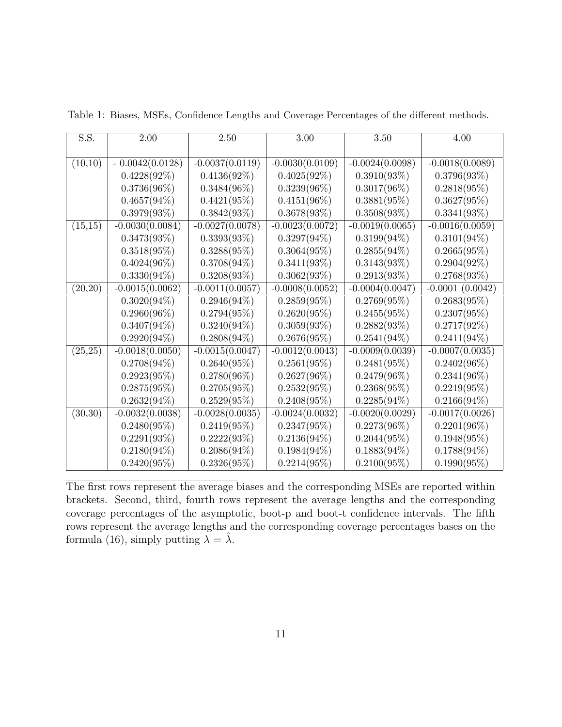| S.S.     | 2.00              | 2.50              | 3.00              | 3.50              | 4.00              |
|----------|-------------------|-------------------|-------------------|-------------------|-------------------|
|          |                   |                   |                   |                   |                   |
| (10,10)  | $-0.0042(0.0128)$ | $-0.0037(0.0119)$ | $-0.0030(0.0109)$ | $-0.0024(0.0098)$ | $-0.0018(0.0089)$ |
|          | $0.4228(92\%)$    | $0.4136(92\%)$    | $0.4025(92\%)$    | $0.3910(93\%)$    | 0.3796(93%)       |
|          | $0.3736(96\%)$    | $0.3484(96\%)$    | $0.3239(96\%)$    | $0.3017(96\%)$    | $0.2818(95\%)$    |
|          | $0.4657(94\%)$    | $0.4421(95\%)$    | $0.4151(96\%)$    | $0.3881(95\%)$    | $0.3627(95\%)$    |
|          | $0.3979(93\%)$    | $0.3842(93\%)$    | 0.3678(93%)       | $0.3508(93\%)$    | $0.3341(93\%)$    |
| (15,15)  | $-0.0030(0.0084)$ | $-0.0027(0.0078)$ | $-0.0023(0.0072)$ | $-0.0019(0.0065)$ | $-0.0016(0.0059)$ |
|          | $0.3473(93\%)$    | 0.3393(93%)       | $0.3297(94\%)$    | $0.3199(94\%)$    | $0.3101(94\%)$    |
|          | $0.3518(95\%)$    | $0.3288(95\%)$    | $0.3064(95\%)$    | $0.2855(94\%)$    | $0.2665(95\%)$    |
|          | $0.4024(96\%)$    | $0.3708(94\%)$    | $0.3411(93\%)$    | $0.3143(93\%)$    | $0.2904(92\%)$    |
|          | $0.3330(94\%)$    | 0.3208(93%)       | 0.3062(93%)       | 0.2913(93%)       | 0.2768(93%)       |
| (20,20)  | $-0.0015(0.0062)$ | $-0.0011(0.0057)$ | $-0.0008(0.0052)$ | $-0.0004(0.0047)$ | $-0.0001(0.0042)$ |
|          | $0.3020(94\%)$    | $0.2946(94\%)$    | $0.2859(95\%)$    | $0.2769(95\%)$    | $0.2683(95\%)$    |
|          | $0.2960(96\%)$    | $0.2794(95\%)$    | $0.2620(95\%)$    | $0.2455(95\%)$    | $0.2307(95\%)$    |
|          | $0.3407(94\%)$    | $0.3240(94\%)$    | $0.3059(93\%)$    | $0.2882(93\%)$    | $0.2717(92\%)$    |
|          | $0.2920(94\%)$    | $0.2808(94\%)$    | $0.2676(95\%)$    | $0.2541(94\%)$    | $0.2411(94\%)$    |
| (25, 25) | $-0.0018(0.0050)$ | $-0.0015(0.0047)$ | $-0.0012(0.0043)$ | $-0.0009(0.0039)$ | $-0.0007(0.0035)$ |
|          | $0.2708(94\%)$    | $0.2640(95\%)$    | $0.2561(95\%)$    | $0.2481(95\%)$    | $0.2402(96\%)$    |
|          | 0.2923(95%)       | $0.2780(96\%)$    | $0.2627(96\%)$    | $0.2479(96\%)$    | $0.2341(96\%)$    |
|          | $0.2875(95\%)$    | $0.2705(95\%)$    | $0.2532(95\%)$    | $0.2368(95\%)$    | $0.2219(95\%)$    |
|          | $0.2632(94\%)$    | $0.2529(95\%)$    | $0.2408(95\%)$    | $0.2285(94\%)$    | $0.2166(94\%)$    |
| (30,30)  | $-0.0032(0.0038)$ | $-0.0028(0.0035)$ | $-0.0024(0.0032)$ | $-0.0020(0.0029)$ | $-0.0017(0.0026)$ |
|          | $0.2480(95\%)$    | $0.2419(95\%)$    | $0.2347(95\%)$    | $0.2273(96\%)$    | $0.2201(96\%)$    |
|          | 0.2291(93%)       | 0.2222(93%)       | $0.2136(94\%)$    | $0.2044(95\%)$    | $0.1948(95\%)$    |
|          | $0.2180(94\%)$    | $0.2086(94\%)$    | $0.1984(94\%)$    | $0.1883(94\%)$    | $0.1788(94\%)$    |
|          | $0.2420(95\%)$    | $0.2326(95\%)$    | $0.2214(95\%)$    | $0.2100(95\%)$    | $0.1990(95\%)$    |

Table 1: Biases, MSEs, Confidence Lengths and Coverage Percentages of the different methods.

The first rows represent the average biases and the corresponding MSEs are reported within brackets. Second, third, fourth rows represent the average lengths and the corresponding coverage percentages of the asymptotic, boot-p and boot-t confidence intervals. The fifth rows represent the average lengths and the corresponding coverage percentages bases on the formula (16), simply putting  $\lambda = \hat{\lambda}$ .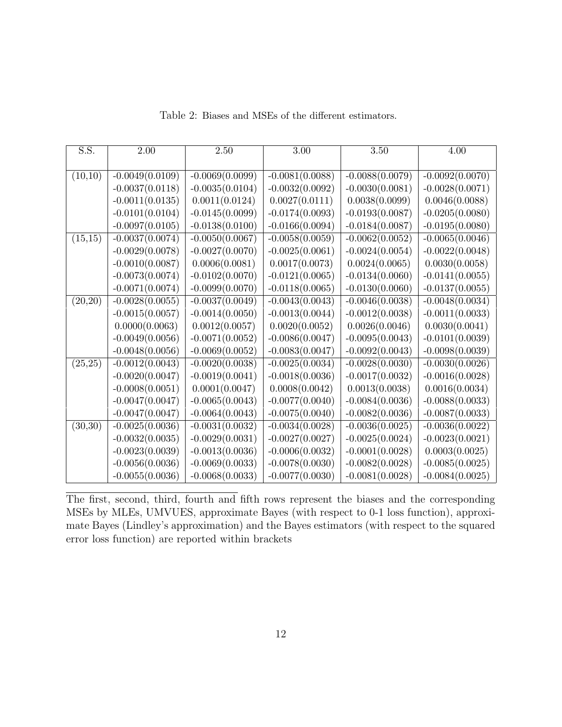| S.S.     | $2.00\,$          | $2.50\,$          | $\overline{3.00}$ | 3.50              | 4.00              |
|----------|-------------------|-------------------|-------------------|-------------------|-------------------|
|          |                   |                   |                   |                   |                   |
| (10,10)  | $-0.0049(0.0109)$ | $-0.0069(0.0099)$ | $-0.0081(0.0088)$ | $-0.0088(0.0079)$ | $-0.0092(0.0070)$ |
|          | $-0.0037(0.0118)$ | $-0.0035(0.0104)$ | $-0.0032(0.0092)$ | $-0.0030(0.0081)$ | $-0.0028(0.0071)$ |
|          | $-0.0011(0.0135)$ | 0.0011(0.0124)    | 0.0027(0.0111)    | 0.0038(0.0099)    | 0.0046(0.0088)    |
|          | $-0.0101(0.0104)$ | $-0.0145(0.0099)$ | $-0.0174(0.0093)$ | $-0.0193(0.0087)$ | $-0.0205(0.0080)$ |
|          | $-0.0097(0.0105)$ | $-0.0138(0.0100)$ | $-0.0166(0.0094)$ | $-0.0184(0.0087)$ | $-0.0195(0.0080)$ |
| (15,15)  | $-0.0037(0.0074)$ | $-0.0050(0.0067)$ | $-0.0058(0.0059)$ | $-0.0062(0.0052)$ | $-0.0065(0.0046)$ |
|          | $-0.0029(0.0078)$ | $-0.0027(0.0070)$ | $-0.0025(0.0061)$ | $-0.0024(0.0054)$ | $-0.0022(0.0048)$ |
|          | $-0.0010(0.0087)$ | 0.0006(0.0081)    | 0.0017(0.0073)    | 0.0024(0.0065)    | 0.0030(0.0058)    |
|          | $-0.0073(0.0074)$ | $-0.0102(0.0070)$ | $-0.0121(0.0065)$ | $-0.0134(0.0060)$ | $-0.0141(0.0055)$ |
|          | $-0.0071(0.0074)$ | $-0.0099(0.0070)$ | $-0.0118(0.0065)$ | $-0.0130(0.0060)$ | $-0.0137(0.0055)$ |
| (20,20)  | $-0.0028(0.0055)$ | $-0.0037(0.0049)$ | $-0.0043(0.0043)$ | $-0.0046(0.0038)$ | $-0.0048(0.0034)$ |
|          | $-0.0015(0.0057)$ | $-0.0014(0.0050)$ | $-0.0013(0.0044)$ | $-0.0012(0.0038)$ | $-0.0011(0.0033)$ |
|          | 0.0000(0.0063)    | 0.0012(0.0057)    | 0.0020(0.0052)    | 0.0026(0.0046)    | 0.0030(0.0041)    |
|          | $-0.0049(0.0056)$ | $-0.0071(0.0052)$ | $-0.0086(0.0047)$ | $-0.0095(0.0043)$ | $-0.0101(0.0039)$ |
|          | $-0.0048(0.0056)$ | $-0.0069(0.0052)$ | $-0.0083(0.0047)$ | $-0.0092(0.0043)$ | $-0.0098(0.0039)$ |
| (25, 25) | $-0.0012(0.0043)$ | $-0.0020(0.0038)$ | $-0.0025(0.0034)$ | $-0.0028(0.0030)$ | $-0.0030(0.0026)$ |
|          | $-0.0020(0.0047)$ | $-0.0019(0.0041)$ | $-0.0018(0.0036)$ | $-0.0017(0.0032)$ | $-0.0016(0.0028)$ |
|          | $-0.0008(0.0051)$ | 0.0001(0.0047)    | 0.0008(0.0042)    | 0.0013(0.0038)    | 0.0016(0.0034)    |
|          | $-0.0047(0.0047)$ | $-0.0065(0.0043)$ | $-0.0077(0.0040)$ | $-0.0084(0.0036)$ | $-0.0088(0.0033)$ |
|          | $-0.0047(0.0047)$ | $-0.0064(0.0043)$ | $-0.0075(0.0040)$ | $-0.0082(0.0036)$ | $-0.0087(0.0033)$ |
| (30,30)  | $-0.0025(0.0036)$ | $-0.0031(0.0032)$ | $-0.0034(0.0028)$ | $-0.0036(0.0025)$ | $-0.0036(0.0022)$ |
|          | $-0.0032(0.0035)$ | $-0.0029(0.0031)$ | $-0.0027(0.0027)$ | $-0.0025(0.0024)$ | $-0.0023(0.0021)$ |
|          | $-0.0023(0.0039)$ | $-0.0013(0.0036)$ | $-0.0006(0.0032)$ | $-0.0001(0.0028)$ | 0.0003(0.0025)    |
|          | $-0.0056(0.0036)$ | $-0.0069(0.0033)$ | $-0.0078(0.0030)$ | $-0.0082(0.0028)$ | $-0.0085(0.0025)$ |
|          | $-0.0055(0.0036)$ | $-0.0068(0.0033)$ | $-0.0077(0.0030)$ | $-0.0081(0.0028)$ | $-0.0084(0.0025)$ |

Table 2: Biases and MSEs of the different estimators.

The first, second, third, fourth and fifth rows represent the biases and the corresponding MSEs by MLEs, UMVUES, approximate Bayes (with respect to 0-1 loss function), approximate Bayes (Lindley's approximation) and the Bayes estimators (with respect to the squared error loss function) are reported within brackets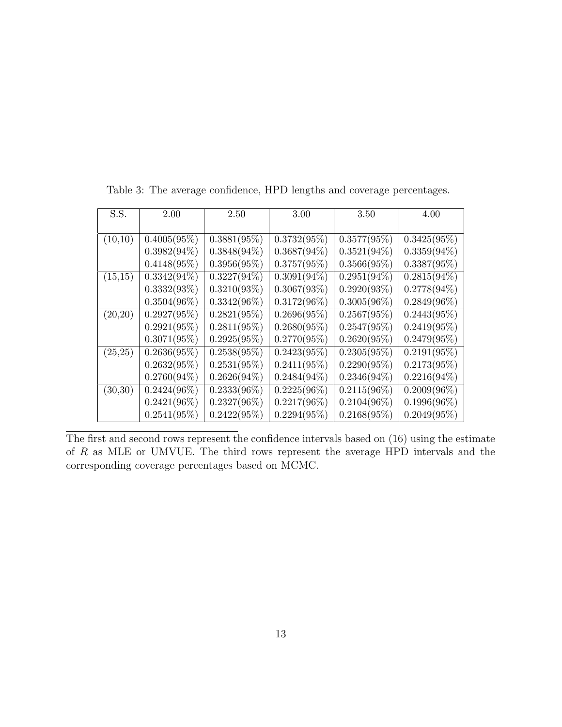| S.S.     | 2.00                      | 2.50           | $3.00\,$       | 3.50           | 4.00           |
|----------|---------------------------|----------------|----------------|----------------|----------------|
|          |                           |                |                |                |                |
| (10,10)  | $0.4005(95\%)$            | $0.3881(95\%)$ | $0.3732(95\%)$ | $0.3577(95\%)$ | $0.3425(95\%)$ |
|          | $0.3982(94\%)$            | $0.3848(94\%)$ | $0.3687(94\%)$ | $0.3521(94\%)$ | $0.3359(94\%)$ |
|          | $0.4148(95\%)$            | $0.3956(95\%)$ | $0.3757(95\%)$ | 0.3566(95%)    | $0.3387(95\%)$ |
| (15,15)  | $0.3342(94\%)$            | $0.3227(94\%)$ | $0.3091(94\%)$ | $0.2951(94\%)$ | $0.2815(94\%)$ |
|          | $0.3332(93\%)$            | $0.3210(93\%)$ | 0.3067(93%)    | 0.2920(93%)    | $0.2778(94\%)$ |
|          | $0.3504(96\%)$            | $0.3342(96\%)$ | $0.3172(96\%)$ | $0.3005(96\%)$ | $0.2849(96\%)$ |
| (20,20)  | $0.2927(95\%)$            | 0.2821(95%)    | 0.2696(95%)    | $0.2567(95\%)$ | $0.2443(95\%)$ |
|          | $0.2921(95\%)$            | $0.2811(95\%)$ | $0.2680(95\%)$ | $0.2547(95\%)$ | $0.2419(95\%)$ |
|          | $0.3071(95\%)$            | $0.2925(95\%)$ | $0.2770(95\%)$ | 0.2620(95%)    | $0.2479(95\%)$ |
| (25, 25) | $0.2636(95\%)$            | 0.2538(95%)    | 0.2423(95%)    | 0.2305(95%)    | 0.2191(95%)    |
|          | $0.2632(95\%)$            | $0.2531(95\%)$ | $0.2411(95\%)$ | $0.2290(95\%)$ | $0.2173(95\%)$ |
|          | $0.2760(94\%)$            | $0.2626(94\%)$ | $0.2484(94\%)$ | $0.2346(94\%)$ | $0.2216(94\%)$ |
| (30,30)  | $\overline{0.2}424(96\%)$ | $0.2333(96\%)$ | $0.2225(96\%)$ | $0.2115(96\%)$ | $0.2009(96\%)$ |
|          | $0.2421(96\%)$            | $0.2327(96\%)$ | $0.2217(96\%)$ | $0.2104(96\%)$ | $0.1996(96\%)$ |
|          | $0.2541(95\%)$            | $0.2422(95\%)$ | 0.2294(95%)    | $0.2168(95\%)$ | $0.2049(95\%)$ |

Table 3: The average confidence, HPD lengths and coverage percentages.

The first and second rows represent the confidence intervals based on (16) using the estimate of R as MLE or UMVUE. The third rows represent the average HPD intervals and the corresponding coverage percentages based on MCMC.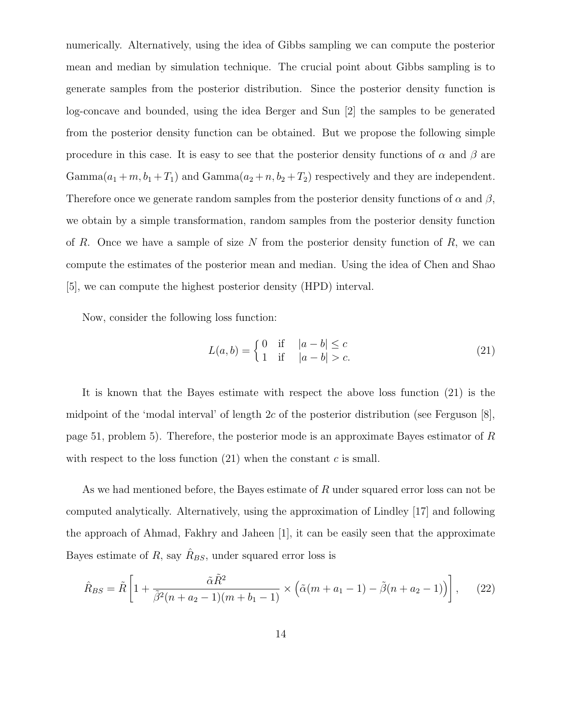numerically. Alternatively, using the idea of Gibbs sampling we can compute the posterior mean and median by simulation technique. The crucial point about Gibbs sampling is to generate samples from the posterior distribution. Since the posterior density function is log-concave and bounded, using the idea Berger and Sun [2] the samples to be generated from the posterior density function can be obtained. But we propose the following simple procedure in this case. It is easy to see that the posterior density functions of  $\alpha$  and  $\beta$  are Gamma $(a_1 + m, b_1 + T_1)$  and Gamma $(a_2 + n, b_2 + T_2)$  respectively and they are independent. Therefore once we generate random samples from the posterior density functions of  $\alpha$  and  $\beta$ , we obtain by a simple transformation, random samples from the posterior density function of R. Once we have a sample of size  $N$  from the posterior density function of  $R$ , we can compute the estimates of the posterior mean and median. Using the idea of Chen and Shao [5], we can compute the highest posterior density (HPD) interval.

Now, consider the following loss function:

$$
L(a,b) = \begin{cases} 0 & \text{if } |a-b| \le c \\ 1 & \text{if } |a-b| > c. \end{cases}
$$
 (21)

It is known that the Bayes estimate with respect the above loss function (21) is the midpoint of the 'modal interval' of length 2c of the posterior distribution (see Ferguson  $[8]$ , page 51, problem 5). Therefore, the posterior mode is an approximate Bayes estimator of R with respect to the loss function  $(21)$  when the constant c is small.

As we had mentioned before, the Bayes estimate of  $R$  under squared error loss can not be computed analytically. Alternatively, using the approximation of Lindley [17] and following the approach of Ahmad, Fakhry and Jaheen [1], it can be easily seen that the approximate Bayes estimate of R, say  $\hat{R}_{BS}$ , under squared error loss is

$$
\hat{R}_{BS} = \tilde{R} \left[ 1 + \frac{\tilde{\alpha} \tilde{R}^2}{\tilde{\beta}^2 (n + a_2 - 1)(m + b_1 - 1)} \times \left( \tilde{\alpha} (m + a_1 - 1) - \tilde{\beta} (n + a_2 - 1) \right) \right], \quad (22)
$$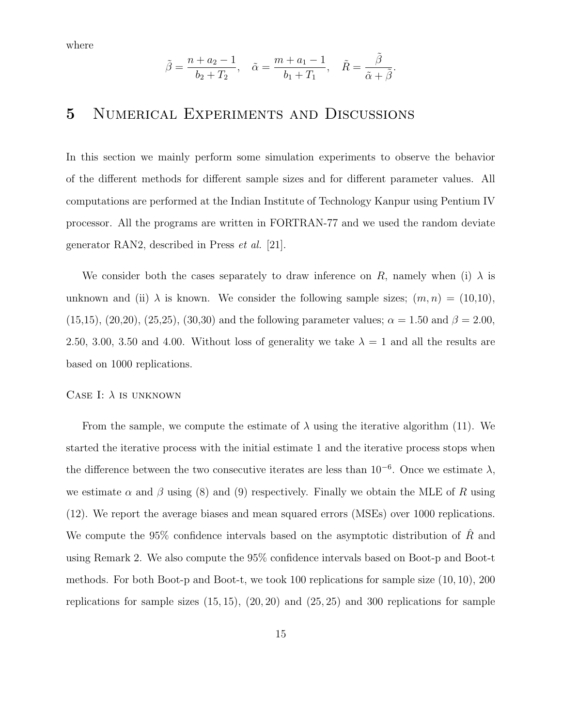where

$$
\tilde{\beta} = \frac{n + a_2 - 1}{b_2 + T_2}, \quad \tilde{\alpha} = \frac{m + a_1 - 1}{b_1 + T_1}, \quad \tilde{R} = \frac{\tilde{\beta}}{\tilde{\alpha} + \tilde{\beta}}.
$$

# 5 Numerical Experiments and Discussions

In this section we mainly perform some simulation experiments to observe the behavior of the different methods for different sample sizes and for different parameter values. All computations are performed at the Indian Institute of Technology Kanpur using Pentium IV processor. All the programs are written in FORTRAN-77 and we used the random deviate generator RAN2, described in Press et al. [21].

We consider both the cases separately to draw inference on R, namely when (i)  $\lambda$  is unknown and (ii)  $\lambda$  is known. We consider the following sample sizes;  $(m, n) = (10, 10)$ ,  $(15,15)$ ,  $(20,20)$ ,  $(25,25)$ ,  $(30,30)$  and the following parameter values;  $\alpha = 1.50$  and  $\beta = 2.00$ , 2.50, 3.00, 3.50 and 4.00. Without loss of generality we take  $\lambda = 1$  and all the results are based on 1000 replications.

#### CASE I:  $\lambda$  is unknown

From the sample, we compute the estimate of  $\lambda$  using the iterative algorithm (11). We started the iterative process with the initial estimate 1 and the iterative process stops when the difference between the two consecutive iterates are less than  $10^{-6}$ . Once we estimate  $\lambda$ , we estimate  $\alpha$  and  $\beta$  using (8) and (9) respectively. Finally we obtain the MLE of R using (12). We report the average biases and mean squared errors (MSEs) over 1000 replications. We compute the 95% confidence intervals based on the asymptotic distribution of  $\hat{R}$  and using Remark 2. We also compute the 95% confidence intervals based on Boot-p and Boot-t methods. For both Boot-p and Boot-t, we took 100 replications for sample size (10, 10), 200 replications for sample sizes  $(15, 15)$ ,  $(20, 20)$  and  $(25, 25)$  and 300 replications for sample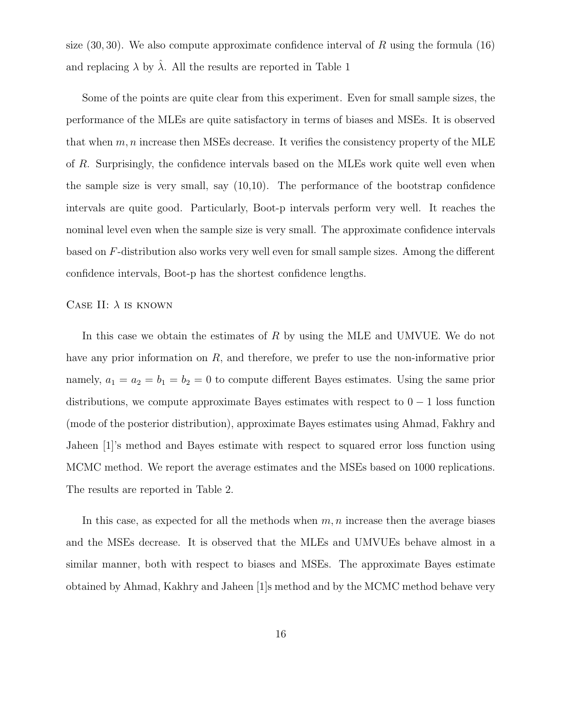size  $(30, 30)$ . We also compute approximate confidence interval of R using the formula  $(16)$ and replacing  $\lambda$  by  $\hat{\lambda}$ . All the results are reported in Table 1

Some of the points are quite clear from this experiment. Even for small sample sizes, the performance of the MLEs are quite satisfactory in terms of biases and MSEs. It is observed that when  $m, n$  increase then MSEs decrease. It verifies the consistency property of the MLE of R. Surprisingly, the confidence intervals based on the MLEs work quite well even when the sample size is very small, say (10,10). The performance of the bootstrap confidence intervals are quite good. Particularly, Boot-p intervals perform very well. It reaches the nominal level even when the sample size is very small. The approximate confidence intervals based on F-distribution also works very well even for small sample sizes. Among the different confidence intervals, Boot-p has the shortest confidence lengths.

#### CASE II:  $\lambda$  is known

In this case we obtain the estimates of R by using the MLE and UMVUE. We do not have any prior information on R, and therefore, we prefer to use the non-informative prior namely,  $a_1 = a_2 = b_1 = b_2 = 0$  to compute different Bayes estimates. Using the same prior distributions, we compute approximate Bayes estimates with respect to  $0 - 1$  loss function (mode of the posterior distribution), approximate Bayes estimates using Ahmad, Fakhry and Jaheen [1]'s method and Bayes estimate with respect to squared error loss function using MCMC method. We report the average estimates and the MSEs based on 1000 replications. The results are reported in Table 2.

In this case, as expected for all the methods when  $m, n$  increase then the average biases and the MSEs decrease. It is observed that the MLEs and UMVUEs behave almost in a similar manner, both with respect to biases and MSEs. The approximate Bayes estimate obtained by Ahmad, Kakhry and Jaheen [1]s method and by the MCMC method behave very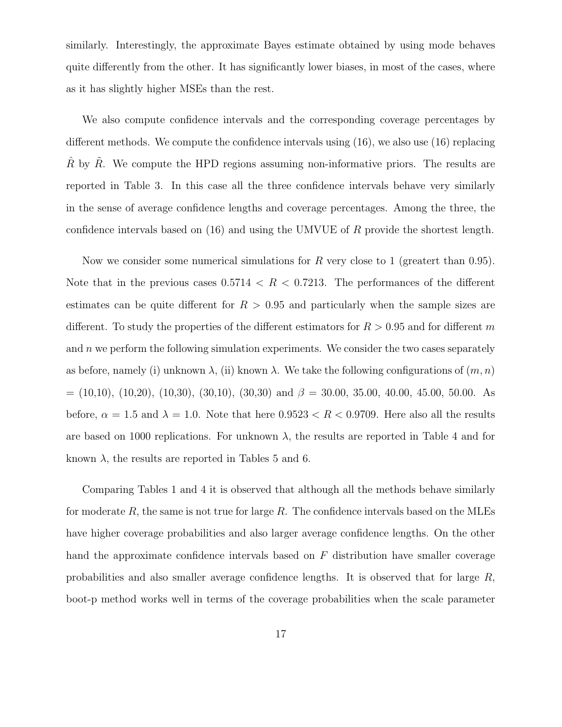similarly. Interestingly, the approximate Bayes estimate obtained by using mode behaves quite differently from the other. It has significantly lower biases, in most of the cases, where as it has slightly higher MSEs than the rest.

We also compute confidence intervals and the corresponding coverage percentages by different methods. We compute the confidence intervals using (16), we also use (16) replacing  $\hat{R}$  by  $\tilde{R}$ . We compute the HPD regions assuming non-informative priors. The results are reported in Table 3. In this case all the three confidence intervals behave very similarly in the sense of average confidence lengths and coverage percentages. Among the three, the confidence intervals based on  $(16)$  and using the UMVUE of R provide the shortest length.

Now we consider some numerical simulations for R very close to 1 (greatert than 0.95). Note that in the previous cases  $0.5714 < R < 0.7213$ . The performances of the different estimates can be quite different for  $R > 0.95$  and particularly when the sample sizes are different. To study the properties of the different estimators for  $R > 0.95$  and for different m and  $n$  we perform the following simulation experiments. We consider the two cases separately as before, namely (i) unknown  $\lambda$ , (ii) known  $\lambda$ . We take the following configurations of  $(m, n)$  $= (10,10), (10,20), (10,30), (30,10), (30,30)$  and  $\beta = 30.00, 35.00, 40.00, 45.00, 50.00$ . As before,  $\alpha = 1.5$  and  $\lambda = 1.0$ . Note that here  $0.9523 < R < 0.9709$ . Here also all the results are based on 1000 replications. For unknown  $\lambda$ , the results are reported in Table 4 and for known  $\lambda$ , the results are reported in Tables 5 and 6.

Comparing Tables 1 and 4 it is observed that although all the methods behave similarly for moderate  $R$ , the same is not true for large  $R$ . The confidence intervals based on the MLEs have higher coverage probabilities and also larger average confidence lengths. On the other hand the approximate confidence intervals based on  $F$  distribution have smaller coverage probabilities and also smaller average confidence lengths. It is observed that for large R, boot-p method works well in terms of the coverage probabilities when the scale parameter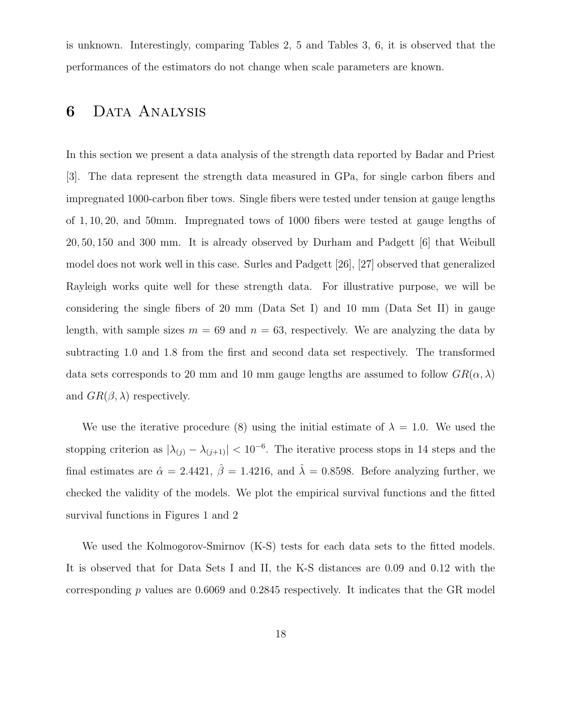is unknown. Interestingly, comparing Tables 2, 5 and Tables 3, 6, it is observed that the performances of the estimators do not change when scale parameters are known.

# 6 Data Analysis

In this section we present a data analysis of the strength data reported by Badar and Priest [3]. The data represent the strength data measured in GPa, for single carbon fibers and impregnated 1000-carbon fiber tows. Single fibers were tested under tension at gauge lengths of 1, 10, 20, and 50mm. Impregnated tows of 1000 fibers were tested at gauge lengths of 20, 50, 150 and 300 mm. It is already observed by Durham and Padgett [6] that Weibull model does not work well in this case. Surles and Padgett [26], [27] observed that generalized Rayleigh works quite well for these strength data. For illustrative purpose, we will be considering the single fibers of 20 mm (Data Set I) and 10 mm (Data Set II) in gauge length, with sample sizes  $m = 69$  and  $n = 63$ , respectively. We are analyzing the data by subtracting 1.0 and 1.8 from the first and second data set respectively. The transformed data sets corresponds to 20 mm and 10 mm gauge lengths are assumed to follow  $GR(\alpha, \lambda)$ and  $GR(\beta, \lambda)$  respectively.

We use the iterative procedure (8) using the initial estimate of  $\lambda = 1.0$ . We used the stopping criterion as  $|\lambda_{(j)} - \lambda_{(j+1)}| < 10^{-6}$ . The iterative process stops in 14 steps and the final estimates are  $\hat{\alpha} = 2.4421$ ,  $\hat{\beta} = 1.4216$ , and  $\hat{\lambda} = 0.8598$ . Before analyzing further, we checked the validity of the models. We plot the empirical survival functions and the fitted survival functions in Figures 1 and 2

We used the Kolmogorov-Smirnov (K-S) tests for each data sets to the fitted models. It is observed that for Data Sets I and II, the K-S distances are 0.09 and 0.12 with the corresponding  $p$  values are 0.6069 and 0.2845 respectively. It indicates that the GR model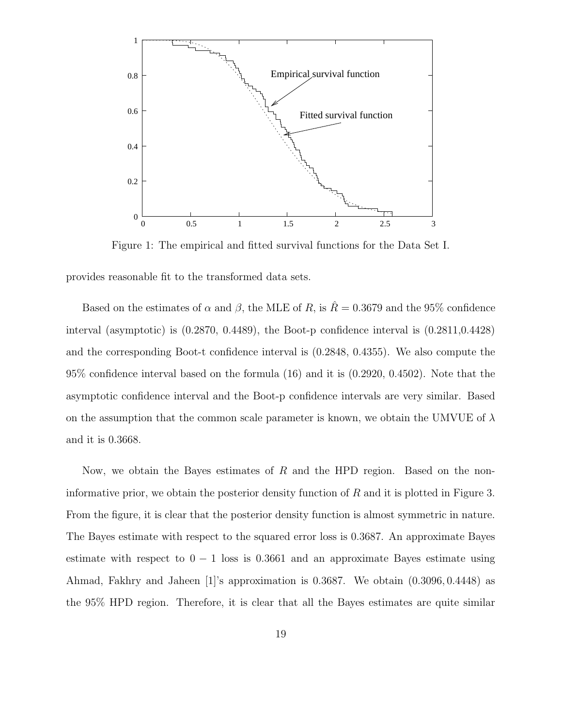

Figure 1: The empirical and fitted survival functions for the Data Set I.

provides reasonable fit to the transformed data sets.

Based on the estimates of  $\alpha$  and  $\beta$ , the MLE of R, is  $\hat{R} = 0.3679$  and the 95% confidence interval (asymptotic) is  $(0.2870, 0.4489)$ , the Boot-p confidence interval is  $(0.2811, 0.4428)$ and the corresponding Boot-t confidence interval is (0.2848, 0.4355). We also compute the 95% confidence interval based on the formula (16) and it is (0.2920, 0.4502). Note that the asymptotic confidence interval and the Boot-p confidence intervals are very similar. Based on the assumption that the common scale parameter is known, we obtain the UMVUE of  $\lambda$ and it is 0.3668.

Now, we obtain the Bayes estimates of  $R$  and the HPD region. Based on the noninformative prior, we obtain the posterior density function of  $R$  and it is plotted in Figure 3. From the figure, it is clear that the posterior density function is almost symmetric in nature. The Bayes estimate with respect to the squared error loss is 0.3687. An approximate Bayes estimate with respect to  $0 - 1$  loss is 0.3661 and an approximate Bayes estimate using Ahmad, Fakhry and Jaheen [1]'s approximation is 0.3687. We obtain (0.3096, 0.4448) as the 95% HPD region. Therefore, it is clear that all the Bayes estimates are quite similar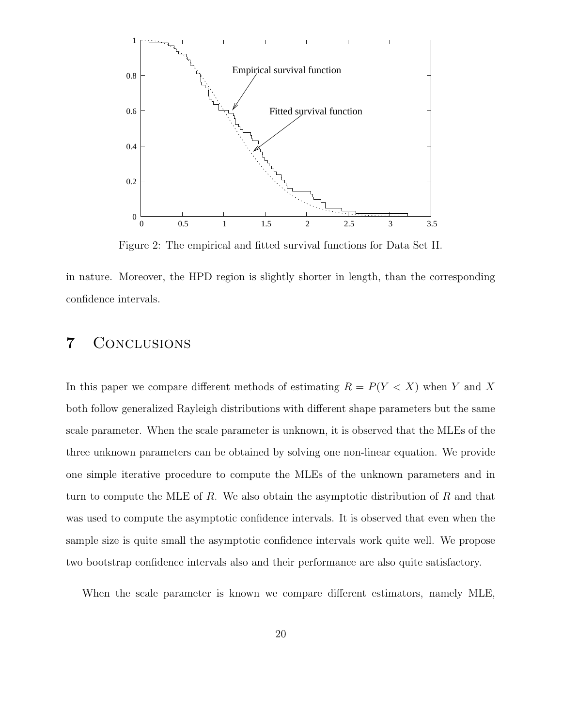

Figure 2: The empirical and fitted survival functions for Data Set II.

in nature. Moreover, the HPD region is slightly shorter in length, than the corresponding confidence intervals.

## 7 Conclusions

In this paper we compare different methods of estimating  $R = P(Y < X)$  when Y and X both follow generalized Rayleigh distributions with different shape parameters but the same scale parameter. When the scale parameter is unknown, it is observed that the MLEs of the three unknown parameters can be obtained by solving one non-linear equation. We provide one simple iterative procedure to compute the MLEs of the unknown parameters and in turn to compute the MLE of R. We also obtain the asymptotic distribution of R and that was used to compute the asymptotic confidence intervals. It is observed that even when the sample size is quite small the asymptotic confidence intervals work quite well. We propose two bootstrap confidence intervals also and their performance are also quite satisfactory.

When the scale parameter is known we compare different estimators, namely MLE,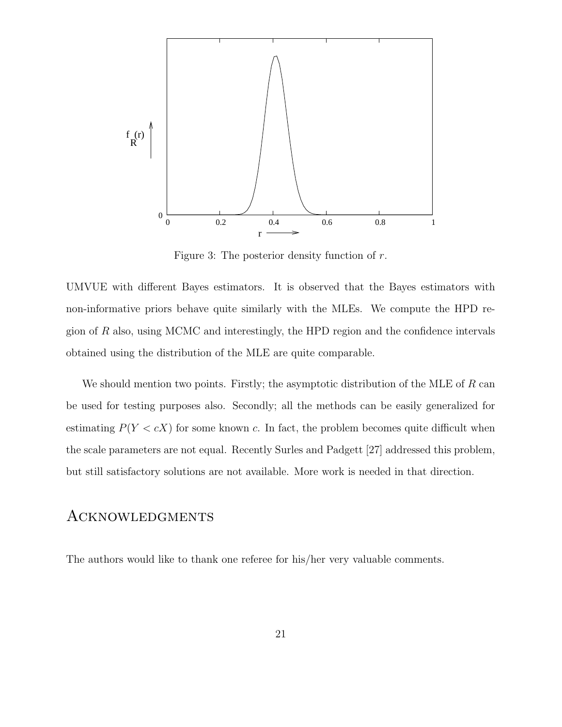

Figure 3: The posterior density function of r.

UMVUE with different Bayes estimators. It is observed that the Bayes estimators with non-informative priors behave quite similarly with the MLEs. We compute the HPD region of R also, using MCMC and interestingly, the HPD region and the confidence intervals obtained using the distribution of the MLE are quite comparable.

We should mention two points. Firstly; the asymptotic distribution of the MLE of  $R$  can be used for testing purposes also. Secondly; all the methods can be easily generalized for estimating  $P(Y < cX)$  for some known c. In fact, the problem becomes quite difficult when the scale parameters are not equal. Recently Surles and Padgett [27] addressed this problem, but still satisfactory solutions are not available. More work is needed in that direction.

### **ACKNOWLEDGMENTS**

The authors would like to thank one referee for his/her very valuable comments.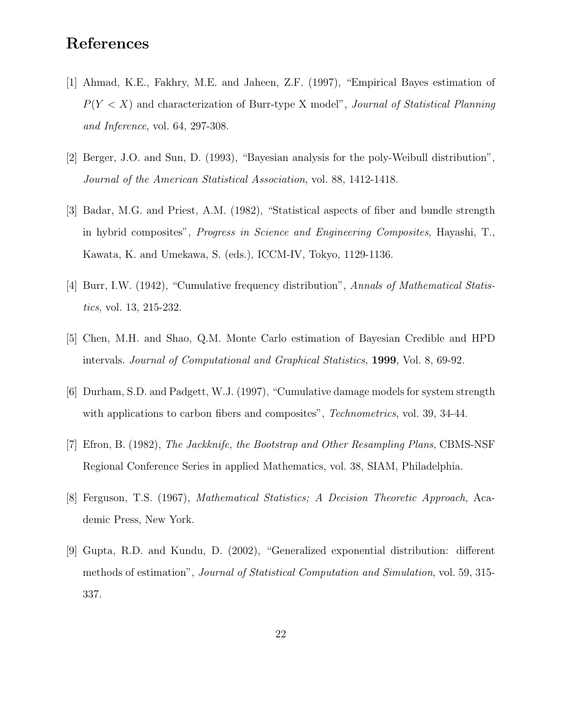# References

- [1] Ahmad, K.E., Fakhry, M.E. and Jaheen, Z.F. (1997), "Empirical Bayes estimation of  $P(Y < X)$  and characterization of Burr-type X model", Journal of Statistical Planning and Inference, vol. 64, 297-308.
- [2] Berger, J.O. and Sun, D. (1993), "Bayesian analysis for the poly-Weibull distribution", Journal of the American Statistical Association, vol. 88, 1412-1418.
- [3] Badar, M.G. and Priest, A.M. (1982), "Statistical aspects of fiber and bundle strength in hybrid composites", Progress in Science and Engineering Composites, Hayashi, T., Kawata, K. and Umekawa, S. (eds.), ICCM-IV, Tokyo, 1129-1136.
- [4] Burr, I.W. (1942), "Cumulative frequency distribution", Annals of Mathematical Statistics, vol. 13, 215-232.
- [5] Chen, M.H. and Shao, Q.M. Monte Carlo estimation of Bayesian Credible and HPD intervals. Journal of Computational and Graphical Statistics, 1999, Vol. 8, 69-92.
- [6] Durham, S.D. and Padgett, W.J. (1997), "Cumulative damage models for system strength with applications to carbon fibers and composites", *Technometrics*, vol. 39, 34-44.
- [7] Efron, B. (1982), The Jackknife, the Bootstrap and Other Resampling Plans, CBMS-NSF Regional Conference Series in applied Mathematics, vol. 38, SIAM, Philadelphia.
- [8] Ferguson, T.S. (1967), Mathematical Statistics; A Decision Theoretic Approach, Academic Press, New York.
- [9] Gupta, R.D. and Kundu, D. (2002), "Generalized exponential distribution: different methods of estimation", Journal of Statistical Computation and Simulation, vol. 59, 315- 337.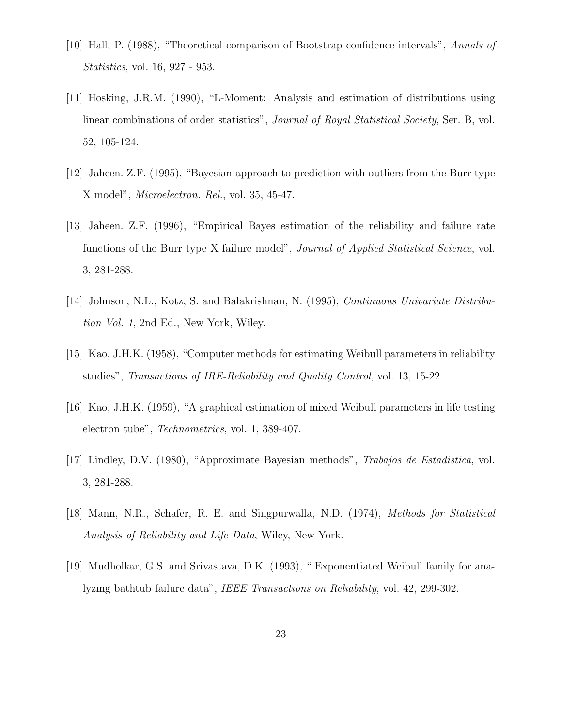- [10] Hall, P. (1988), "Theoretical comparison of Bootstrap confidence intervals", Annals of Statistics, vol. 16, 927 - 953.
- [11] Hosking, J.R.M. (1990), "L-Moment: Analysis and estimation of distributions using linear combinations of order statistics", Journal of Royal Statistical Society, Ser. B, vol. 52, 105-124.
- [12] Jaheen. Z.F. (1995), "Bayesian approach to prediction with outliers from the Burr type X model", Microelectron. Rel., vol. 35, 45-47.
- [13] Jaheen. Z.F. (1996), "Empirical Bayes estimation of the reliability and failure rate functions of the Burr type X failure model", *Journal of Applied Statistical Science*, vol. 3, 281-288.
- [14] Johnson, N.L., Kotz, S. and Balakrishnan, N. (1995), Continuous Univariate Distribution Vol. 1, 2nd Ed., New York, Wiley.
- [15] Kao, J.H.K. (1958), "Computer methods for estimating Weibull parameters in reliability studies", Transactions of IRE-Reliability and Quality Control, vol. 13, 15-22.
- [16] Kao, J.H.K. (1959), "A graphical estimation of mixed Weibull parameters in life testing electron tube", Technometrics, vol. 1, 389-407.
- [17] Lindley, D.V. (1980), "Approximate Bayesian methods", Trabajos de Estadistica, vol. 3, 281-288.
- [18] Mann, N.R., Schafer, R. E. and Singpurwalla, N.D. (1974), Methods for Statistical Analysis of Reliability and Life Data, Wiley, New York.
- [19] Mudholkar, G.S. and Srivastava, D.K. (1993), " Exponentiated Weibull family for analyzing bathtub failure data", IEEE Transactions on Reliability, vol. 42, 299-302.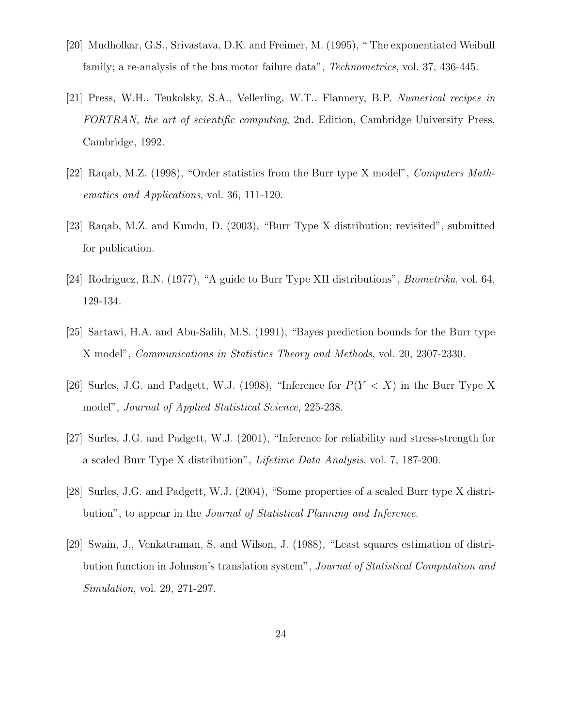- [20] Mudholkar, G.S., Srivastava, D.K. and Freimer, M. (1995), " The exponentiated Weibull family; a re-analysis of the bus motor failure data", *Technometrics*, vol. 37, 436-445.
- [21] Press, W.H., Teukolsky, S.A., Vellerling, W.T., Flannery, B.P. Numerical recipes in FORTRAN, the art of scientific computing, 2nd. Edition, Cambridge University Press, Cambridge, 1992.
- [22] Raqab, M.Z. (1998), "Order statistics from the Burr type X model", Computers Mathematics and Applications, vol. 36, 111-120.
- [23] Raqab, M.Z. and Kundu, D. (2003), "Burr Type X distribution; revisited", submitted for publication.
- [24] Rodriguez, R.N. (1977), "A guide to Burr Type XII distributions", Biometrika, vol. 64, 129-134.
- [25] Sartawi, H.A. and Abu-Salih, M.S. (1991), "Bayes prediction bounds for the Burr type X model", Communications in Statistics Theory and Methods, vol. 20, 2307-2330.
- [26] Surles, J.G. and Padgett, W.J. (1998), "Inference for  $P(Y < X)$  in the Burr Type X model", *Journal of Applied Statistical Science*, 225-238.
- [27] Surles, J.G. and Padgett, W.J. (2001), "Inference for reliability and stress-strength for a scaled Burr Type X distribution", Lifetime Data Analysis, vol. 7, 187-200.
- [28] Surles, J.G. and Padgett, W.J. (2004), "Some properties of a scaled Burr type X distribution", to appear in the Journal of Statistical Planning and Inference.
- [29] Swain, J., Venkatraman, S. and Wilson, J. (1988), "Least squares estimation of distribution function in Johnson's translation system", Journal of Statistical Computation and Simulation, vol. 29, 271-297.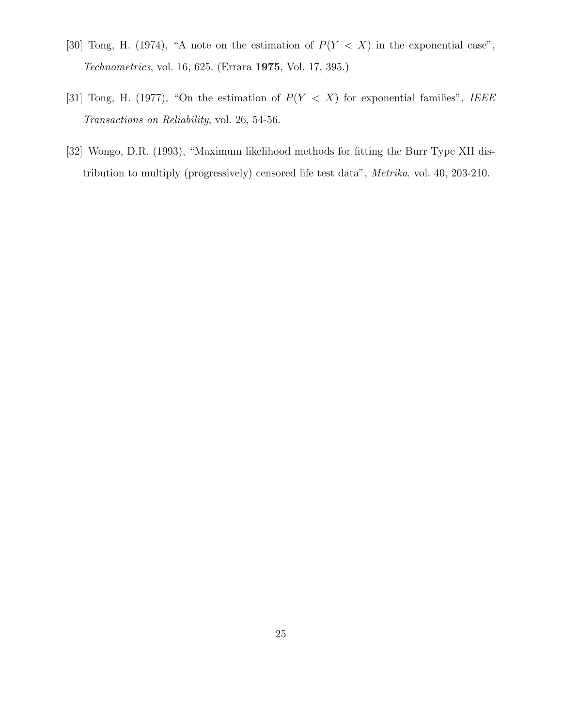- [30] Tong, H. (1974), "A note on the estimation of  $P(Y < X)$  in the exponential case", Technometrics, vol. 16, 625. (Errara 1975, Vol. 17, 395.)
- [31] Tong, H. (1977), "On the estimation of  $P(Y < X)$  for exponential families", IEEE Transactions on Reliability, vol. 26, 54-56.
- [32] Wongo, D.R. (1993), "Maximum likelihood methods for fitting the Burr Type XII distribution to multiply (progressively) censored life test data", Metrika, vol. 40, 203-210.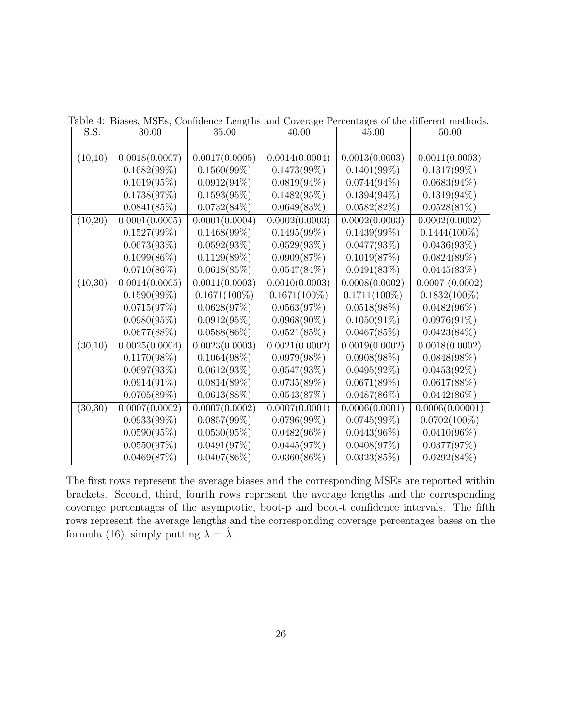| S.S.    | 30.00          | 35.00           | 40.00           | 45.00           | 50.00           |
|---------|----------------|-----------------|-----------------|-----------------|-----------------|
|         |                |                 |                 |                 |                 |
| (10,10) | 0.0018(0.0007) | 0.0017(0.0005)  | 0.0014(0.0004)  | 0.0013(0.0003)  | 0.0011(0.0003)  |
|         | $0.1682(99\%)$ | $0.1560(99\%)$  | $0.1473(99\%)$  | $0.1401(99\%)$  | $0.1317(99\%)$  |
|         | $0.1019(95\%)$ | $0.0912(94\%)$  | $0.0819(94\%)$  | $0.0744(94\%)$  | $0.0683(94\%)$  |
|         | 0.1738(97%)    | $0.1593(95\%)$  | $0.1482(95\%)$  | $0.1394(94\%)$  | $0.1319(94\%)$  |
|         | 0.0841(85%)    | $0.0732(84\%)$  | 0.0649(83%)     | 0.0582(82%)     | $0.0528(81\%)$  |
| (10,20) | 0.0001(0.0005) | 0.0001(0.0004)  | 0.0002(0.0003)  | 0.0002(0.0003)  | 0.0002(0.0002)  |
|         | $0.1527(99\%)$ | $0.1468(99\%)$  | $0.1495(99\%)$  | $0.1439(99\%)$  | $0.1444(100\%)$ |
|         | 0.0673(93%)    | 0.0592(93%)     | 0.0529(93%)     | 0.0477(93%)     | 0.0436(93%)     |
|         | $0.1099(86\%)$ | $0.1129(89\%)$  | 0.0909(87%)     | 0.1019(87%)     | 0.0824(89%)     |
|         | $0.0710(86\%)$ | 0.0618(85%)     | $0.0547(84\%)$  | 0.0491(83%)     | 0.0445(83%)     |
| (10,30) | 0.0014(0.0005) | 0.0011(0.0003)  | 0.0010(0.0003)  | 0.0008(0.0002)  | 0.0007(0.0002)  |
|         | $0.1590(99\%)$ | $0.1671(100\%)$ | $0.1671(100\%)$ | $0.1711(100\%)$ | $0.1832(100\%)$ |
|         | 0.0715(97%)    | 0.0628(97%)     | 0.0563(97%)     | $0.0518(98\%)$  | $0.0482(96\%)$  |
|         | 0.0980(95%)    | 0.0912(95%)     | $0.0968(90\%)$  | $0.1050(91\%)$  | $0.0976(91\%)$  |
|         | 0.0677(88%)    | $0.0588(86\%)$  | 0.0521(85%)     | 0.0467(85%)     | $0.0423(84\%)$  |
| (30,10) | 0.0025(0.0004) | 0.0023(0.0003)  | 0.0021(0.0002)  | 0.0019(0.0002)  | 0.0018(0.0002)  |
|         | $0.1170(98\%)$ | $0.1064(98\%)$  | $0.0979(98\%)$  | $0.0908(98\%)$  | $0.0848(98\%)$  |
|         | 0.0697(93%)    | 0.0612(93%)     | 0.0547(93%)     | $0.0495(92\%)$  | $0.0453(92\%)$  |
|         | $0.0914(91\%)$ | $0.0814(89\%)$  | 0.0735(89%)     | 0.0671(89%)     | 0.0617(88%)     |
|         | 0.0705(89%)    | 0.0613(88%)     | 0.0543(87%)     | $0.0487(86\%)$  | $0.0442(86\%)$  |
| (30,30) | 0.0007(0.0002) | 0.0007(0.0002)  | 0.0007(0.0001)  | 0.0006(0.0001)  | 0.0006(0.00001) |
|         | $0.0933(99\%)$ | $0.0857(99\%)$  | $0.0796(99\%)$  | $0.0745(99\%)$  | $0.0702(100\%)$ |
|         | $0.0590(95\%)$ | $0.0530(95\%)$  | $0.0482(96\%)$  | $0.0443(96\%)$  | $0.0410(96\%)$  |
|         | 0.0550(97%)    | 0.0491(97%)     | 0.0445(97%)     | 0.0408(97%)     | 0.0377(97%)     |
|         | 0.0469(87%)    | $0.0407(86\%)$  | $0.0360(86\%)$  | 0.0323(85%)     | $0.0292(84\%)$  |

Table 4: Biases, MSEs, Confidence Lengths and Coverage Percentages of the different methods.

The first rows represent the average biases and the corresponding MSEs are reported within brackets. Second, third, fourth rows represent the average lengths and the corresponding coverage percentages of the asymptotic, boot-p and boot-t confidence intervals. The fifth rows represent the average lengths and the corresponding coverage percentages bases on the formula (16), simply putting  $\lambda = \hat{\lambda}$ .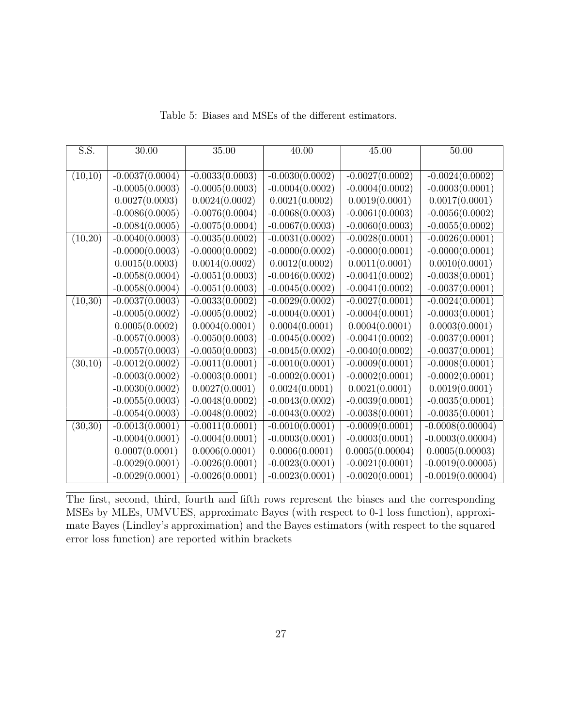| S.S.    | $30.00\,$         | 35.00             | 40.00             | 45.00             | $50.00\,$          |
|---------|-------------------|-------------------|-------------------|-------------------|--------------------|
|         |                   |                   |                   |                   |                    |
| (10,10) | $-0.0037(0.0004)$ | $-0.0033(0.0003)$ | $-0.0030(0.0002)$ | $-0.0027(0.0002)$ | $-0.0024(0.0002)$  |
|         | $-0.0005(0.0003)$ | $-0.0005(0.0003)$ | $-0.0004(0.0002)$ | $-0.0004(0.0002)$ | $-0.0003(0.0001)$  |
|         | 0.0027(0.0003)    | 0.0024(0.0002)    | 0.0021(0.0002)    | 0.0019(0.0001)    | 0.0017(0.0001)     |
|         | $-0.0086(0.0005)$ | $-0.0076(0.0004)$ | $-0.0068(0.0003)$ | $-0.0061(0.0003)$ | $-0.0056(0.0002)$  |
|         | $-0.0084(0.0005)$ | $-0.0075(0.0004)$ | $-0.0067(0.0003)$ | $-0.0060(0.0003)$ | $-0.0055(0.0002)$  |
| (10,20) | $-0.0040(0.0003)$ | $-0.0035(0.0002)$ | $-0.0031(0.0002)$ | $-0.0028(0.0001)$ | $-0.0026(0.0001)$  |
|         | $-0.0000(0.0003)$ | $-0.0000(0.0002)$ | $-0.0000(0.0002)$ | $-0.0000(0.0001)$ | $-0.0000(0.0001)$  |
|         | 0.0015(0.0003)    | 0.0014(0.0002)    | 0.0012(0.0002)    | 0.0011(0.0001)    | 0.0010(0.0001)     |
|         | $-0.0058(0.0004)$ | $-0.0051(0.0003)$ | $-0.0046(0.0002)$ | $-0.0041(0.0002)$ | $-0.0038(0.0001)$  |
|         | $-0.0058(0.0004)$ | $-0.0051(0.0003)$ | $-0.0045(0.0002)$ | $-0.0041(0.0002)$ | $-0.0037(0.0001)$  |
| (10,30) | $-0.0037(0.0003)$ | $-0.0033(0.0002)$ | $-0.0029(0.0002)$ | $-0.0027(0.0001)$ | $-0.0024(0.0001)$  |
|         | $-0.0005(0.0002)$ | $-0.0005(0.0002)$ | $-0.0004(0.0001)$ | $-0.0004(0.0001)$ | $-0.0003(0.0001)$  |
|         | 0.0005(0.0002)    | 0.0004(0.0001)    | 0.0004(0.0001)    | 0.0004(0.0001)    | 0.0003(0.0001)     |
|         | $-0.0057(0.0003)$ | $-0.0050(0.0003)$ | $-0.0045(0.0002)$ | $-0.0041(0.0002)$ | $-0.0037(0.0001)$  |
|         | $-0.0057(0.0003)$ | $-0.0050(0.0003)$ | $-0.0045(0.0002)$ | $-0.0040(0.0002)$ | $-0.0037(0.0001)$  |
| (30,10) | $-0.0012(0.0002)$ | $-0.0011(0.0001)$ | $-0.0010(0.0001)$ | $-0.0009(0.0001)$ | $-0.0008(0.0001)$  |
|         | $-0.0003(0.0002)$ | $-0.0003(0.0001)$ | $-0.0002(0.0001)$ | $-0.0002(0.0001)$ | $-0.0002(0.0001)$  |
|         | $-0.0030(0.0002)$ | 0.0027(0.0001)    | 0.0024(0.0001)    | 0.0021(0.0001)    | 0.0019(0.0001)     |
|         | $-0.0055(0.0003)$ | $-0.0048(0.0002)$ | $-0.0043(0.0002)$ | $-0.0039(0.0001)$ | $-0.0035(0.0001)$  |
|         | $-0.0054(0.0003)$ | $-0.0048(0.0002)$ | $-0.0043(0.0002)$ | $-0.0038(0.0001)$ | $-0.0035(0.0001)$  |
| (30,30) | $-0.0013(0.0001)$ | $-0.0011(0.0001)$ | $-0.0010(0.0001)$ | $-0.0009(0.0001)$ | $-0.0008(0.00004)$ |
|         | $-0.0004(0.0001)$ | $-0.0004(0.0001)$ | $-0.0003(0.0001)$ | $-0.0003(0.0001)$ | $-0.0003(0.00004)$ |
|         | 0.0007(0.0001)    | 0.0006(0.0001)    | 0.0006(0.0001)    | 0.0005(0.00004)   | 0.0005(0.00003)    |
|         | $-0.0029(0.0001)$ | $-0.0026(0.0001)$ | $-0.0023(0.0001)$ | $-0.0021(0.0001)$ | $-0.0019(0.00005)$ |
|         | $-0.0029(0.0001)$ | $-0.0026(0.0001)$ | $-0.0023(0.0001)$ | $-0.0020(0.0001)$ | $-0.0019(0.00004)$ |

Table 5: Biases and MSEs of the different estimators.

The first, second, third, fourth and fifth rows represent the biases and the corresponding MSEs by MLEs, UMVUES, approximate Bayes (with respect to 0-1 loss function), approximate Bayes (Lindley's approximation) and the Bayes estimators (with respect to the squared error loss function) are reported within brackets